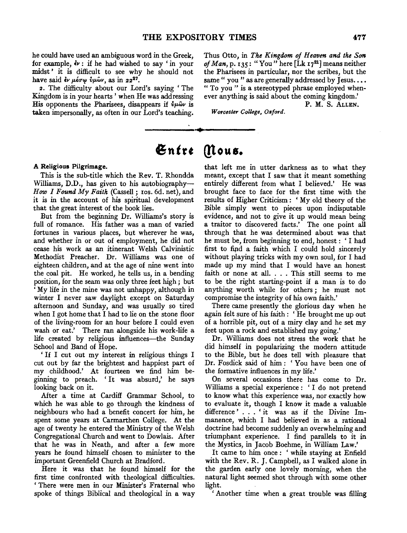he could have used an ambiguous word in the Greek, for example,  $\dot{\mathbf{e}}$  if he had wished to say 'in your midst' it is difficult to see why he should not have said  $\dot{\epsilon}$ v  $\mu \acute{\epsilon} \sigma \varphi$   $\dot{\nu} \mu \hat{\omega}$ v, as in 22<sup>27</sup>.

2. The difficulty about our Lord's saying 'The Kingdom is in your hearts ' when He was addressing His opponents the Pharisees, disappears if  $\dot{v}_{\mu}\hat{\omega}_{\nu}$  is taken impersonally, as often in our Lord's teaching.

Thus Otto, in *The Kingdom of Heaven and the Son of Man,* p. 135: "You" here (Lk 1721] means neither the Pharisees in particular, nor the scribes, but the same " you " as are generally addressed by Jesus.... " To you " is a stereotyped phrase employed when-

ever anything is said about the coming kingdom.' P. M. S. ALLEN.

*Worcester College, Oxford.* 

# Entre Mous.

#### A Religious Pilgrimage.

This is the sub-title which the Rev. T. Rhondda Williams, D.D., has given to his autobiography-*How I Found My Faith* (Cassell; 10s. 6d. net), and it is in the account of his spiritual development that the great interest of the book lies.

But from the beginning Dr. Williams's story is full of romance. His father was a man of varied fortunes in various places, but wherever he was, and whether in or out of employment, he did not cease his work as an itinerant Welsh Calvinistic Methodist Preacher. Dr. Williams was one of eighteen children, and at the age of nine went into the coal pit. He worked, he tells us, in a bending position, for the seam was only three feet high ; but 'My life in the mine was not unhappy, although in winter I never saw daylight except on Saturday afternoon and Sunday, and was usually so tired when I got home that I had to lie on the stone floor of the living-room for an hour before I could even wash or eat.' There ran alongside his work-life a life created by religious influences-the Sunday School and Band of Hope.

' If I cut out my interest in religious things I cut out by far the brightest and happiest part of my childhood.' At fourteen we find him beginning to preach. 'It was absurd,' he says looking back on it.

After a time at Cardiff Grammar School, to which he was able to go through the kindness of neighbours who had a benefit concert for him, he spent some years at Carmarthen College. At the age of twenty he entered the Ministry of the Welsh Congregational Church and went to Dowlais. After that he was in Neath, and after a few more years he found himself chosen to minister to the important Greenfield Church at Bradford.

Here it was that he found himself for the first time confronted with theological difficulties. 'There were men in our Minister's Fraternal who spoke of things Biblical and theological in a way that left me in utter darkness as to what they meant, except that I saw that it meant something entirely different from what I believed.' He was brought face to face for the first time with the results of Higher Criticism: *'My* old theory of the Bible simply went to pieces upon indisputable evidence, and not to give it up would mean being a traitor to discovered facts.' The one point all through that he was determined about was that he must be, from beginning to end, honest: 'I had first to fipd a faith which I could hold sincerely without playing tricks with my own soul, for I had made up my mind that I would have an honest faith or none at all. . . . This still seems to me to be the right starting-point if a man is to do anything worth while for others ; he must not compromise the integrity of his own faith.'

There came presently the glorious day when he again felt sure of his faith : ' He brought me up out of a horrible pit, out of a miry clay and he set my feet upon a rock and established my going.'

Dr. Williams does not stress the work that he did himself in popularizing the modern attitude to the Bible, but he does tell with pleasure that Dr. Fosdick said of him: 'You have been one of the formative influences in my life.'

On several occasions there has come to Dr. Williams a special experience : ' I do not pretend to know what this experience was, nor exactly how to evaluate it, though I know it made a valuable difference ' . . . ' it was as if the Divine Immanence, which I had believed in as a rational doctrine had become suddenly an overwhelming and triumphant experience. I find parallels to it in the Mystics, in Jacob Boehme, in William Law.'

It came to him once : ' while staying at Enfield with the Rev. R. J. Campbell, as I walked alone in the garden early one lovely morning, when the natural light seemed shot through with some other light.

' Another time when a great trouble was filling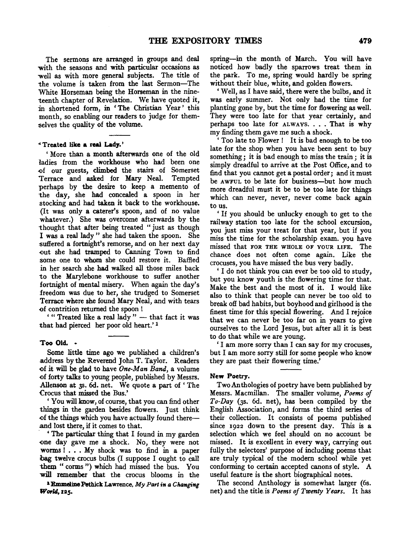The sermons are arranged in groups and deal with the seasons and with particular occasions as well as with more general subjects. The title of the volume is taken from the last Sermon-The White Horseman being the Horseman in the nineteenth chapter of Revelation. We have quoted it, in shortened form, in 'The Christian Year' this month, so enabling our readers to judge for themselves the quality of the volume.

#### "Treated like a real Lady.'

' More than a month afterwards one of the old ladies from the workhouse who had been one -0f our guests, climbed the stairs of Somerset Terrace and asked for Mary Neal. Tempted perhaps by the desire to keep a memento of the day, she had concealed a spoon in her stocking and had taken it back to the workhouse. (It was only a caterer's spoon, and of no value whatever.) She was overcome afterwards by the thought that after being treated " just as though I was a real lady " she had taken the spoon. She suffered a fortnight's remorse, and on her next day -0ut she had tramped to Canning Town to find some one to whom she could restore it. Baffled in her search she had walked all those miles back to the Marylebone workhouse to suffer another fortnight of mental misery. When again the day's freedom was due to her, she trudged to Somerset Terrace where she found Mary Neal, and with tears <>f contrition returned the spoon !

" Treated like a real lady"  $-$  that fact it was that had pierced her poor old heart.' <sup>1</sup>

#### Too Old. •

Some little time ago we published a children's .address bythe Reverend John T. Taylor. Readers <>fit will be glad to have *One-Man Band,* a volume of forty talks to young people, published by Messrs. Allenson at 3s. 6d. net. We quote a part of 'The Crocus that missed the Bus.'

'You will know, of course, that you can find other things in the garden besides flowers. Just think of the things which you have actually found thereand lost there, if it comes to that.

· ' The particular thing that I found in my garden <>ne day gave me a shock. No, they were not worms! ... My shock was to find in a paper bag twelve crocus bulbs (I suppose I ought to call them " corms ") which had missed the bus. You will remember that the crocus blooms in the

<sup>1</sup> Emmeline Pethick Lawrence, My Part in a Changing World,125.

spring-in the month of March. You will have noticed how badly the sparrows treat them in the park. To me, spring would hardly be spring without their blue, white, and golden flowers.

'Well, as I have said, there were the bulbs, and it was early summer. Not only had the time for planting gone by, but the time for flowering as well. They were too late for that year certainly, and perhaps too late for  $\lambda$ LWAYS.... That is why my finding them gave me such a shock.

' Too late to Flower ! It is bad enough to be too late for the shop when you have been sent to buy something ; it is bad enough to miss the train ; it is simply dreadful to arrive at the Post Office, and to find that you cannot get a postal order; and it must be AWFUL to be late for business-but how much more dreadful must it be to be too late for things which can never, never, never come back again to us.

' If you should be unlucky enough to get to the railway station too late for the school excursion, you just miss your treat for that year, but if you miss the time for the scholarship exam. you have missed that FOR THE WHOLE OF YOUR LIFE. The chance does not often come again. Like the crocuses, you have missed the bus very badly.

'I do not think you can ever be too old to study, but you know youth is the flowering time for that. Make the best and the most of it. I would like also to think that people can never be too old to break off bad habits, but boyhood and girlhood is the finest time for this special flowering. And I rejoice that we can never be too far on in years to give ourselves to the Lord Jesus, but after all it is best to do that while we are young.

' I am more sorry than I can say for my crocuses, but I am more sorry still for some people who know they are past their flowering time.'

#### New Poetry.

Two Anthologies of poetry have been published by Messrs. Macmillan. The smaller volume, *Poems of To-Day* (3s. 6d. net), has been compiled by the English Association, and forms the third series of their collection. It consists of poems published since 1922 down to the present day. This is a selection which we feel should on no account be missed. It is excellent in every way, carrying out fully the selectors' purpose of including poems that are truly typical of the modern school while yet conforming to certain accepted canons of style. A useful feature is the short biographical notes.

The second Anthology is somewhat larger (6s. net) and the title is *Poems of Twenty Years*. It has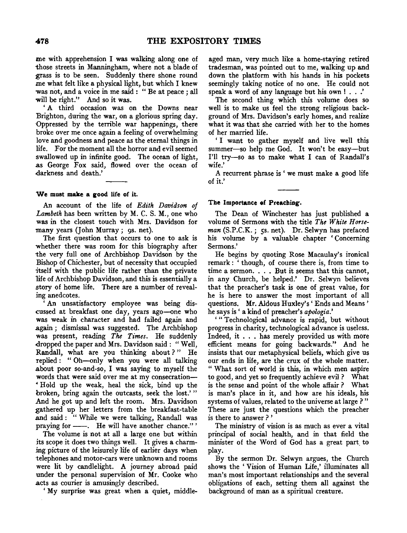me with apprehension I was walking along one of those streets in Manningham, where not a blade of grass is to be seen. Suddenly there shone round me what felt like a physical light, but which I knew was not, and a voice in me said : " Be at peace ; all will be right." And so it was.

' A third occasion was on the Downs near :Brighton, during the war, on a glorious spring day. Oppressed by the terrible war happenings, there broke over me once again a feeling of overwhelming love and goodness and peace as the eternal things in life. For the moment all the horror and evil seemed swallowed up in infinite good. The ocean of light, as George Fox said, flowed over the ocean of darkness and death.'

## We must make a good life of it.

An account of the life of *Edith Davidson of Lambeth* has been written by M. C. S. M., one who was in the closest touch with Mrs. Davidson for many years (John Murray; 9s. net).

The first question that occurs to one to ask is whether there was room for this biography after the very full one of Archbishop Davidson by the Bishop of Chichester, but of necessity that occupied itself with the public life rather than the private life of Archbishop Davidson, and this is essentially a .story of home life. There are a number of revealing anedcotes.

An unsatisfactory employee was being dis-.cussed at breakfast one day, years ago-one who was weak in character and had failed again and again ; dismissal was suggested. The Archbishop was present, reading *The Times.* He suddenly dropped the paper and Mrs. Davidson said : " Well, Randall, what are you thinking about?" He replied : " Oh-only when you were all talking about poor so-and-so, I was saying to myself the words that were said over me at my consecration-• Hold up the weak, heal the sick, bind up the broken, bring again the outcasts, seek the lost.' " And he got up and left the room. Mrs. Davidson gathered up her letters from the breakfast-table and said : " While we were talking, Randall was<br>praying for ——. He will have another chance." ' praying for ——. He will have another chance."<br>The volume is not at all a large one but within

jts scope it does two things well. It gives a charming picture of the leisurely life of earlier days when telephones and motor-cars were unknown and rooms were lit by candlelight. A journey abroad paid under the personal supervision of Mr. Cooke who acts as courier is amusingly described.

'My surprise was great when a quiet, middle-

aged man, very much like a home-staying retired tradesman, was pointed out to me, walking up and down the platform with his hands in his pockets seemingly taking notice of no one. He could not speak a word of any language but his own ! . . .'

The second thing which this volume does so well is to make us feel the strong religious background of Mrs. Davidson's early homes, and realize what it was that she carried with her to the homes of her married life.

' I want to gather myself and live well this summer-so help me God. It won't be easy-but I'll try-so as to make what I can of Randall's wife.'

A recurrent phrase is ' we must make a good life of it.'

### The Importance of Preaching.

The Dean of Winchester has just published a volume of Sermons with the title *The White Horseman* (S.P.C.K.; 5s. net). Dr. Selwyn has prefaced his volume by a valuable chapter 'Concerning Sermons.'

He begins by quoting Rose Macaulay's ironical remark : ' though, of course there is, from time to time a sermon. . . . But it seems that this cannot, in any Church, be helped.' Dr. Selwyn believes that the preacher's task is one of great value, for he is here to answer the most important of all questions. Mr. Aldous Huxley's' Ends and Means ' he says is' a kind of preacher's *apologia.'* 

' " Technological advance is rapid, but without progress in charity, technological advance is useless. Indeed, it ... has merely provided us with more Indeed, it . . . has merely provided us with more<br>efficient means for going backwards." And he insists that our metaphysical beliefs, which give us our ends in life, are the crux of the whole matter. "What sort of world is this, in which men aspire to good, and yet so frequently achieve evil? What is the sense and point of the whole affair ? What is man's place in it, and how are his ideals, his systems of values, related to the universe at large ? " These are just the questions which the preacher is there to answer ? '

The ministry of vision is as much as ever a vital principal of social health, and in that field the minister of the Word of God has a great part. to play.

By the sermon Dr. Selwyn argues, the Church shows the 'Vision of Human Life,' illuminates all man's most important relationships and the several obligations of each, setting them all against the background of man as a spiritual creature.